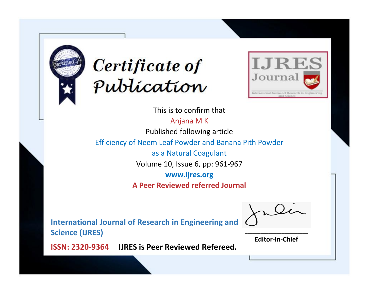



This is to confirm that

Anjana M K Published following article

Efficiency of Neem Leaf Powder and Banana Pith Powder

as a Natural Coagulant

Volume 10, Issue 6, pp: 961-967

**www.ijres.org**

**A Peer Reviewed referred Journal**

**International Journal of Research in Engineering and Science (IJRES)**

\_\_\_\_\_\_\_\_\_\_\_\_\_\_\_\_\_\_\_\_\_\_\_\_ **Editor-In-Chief**

**Journal.**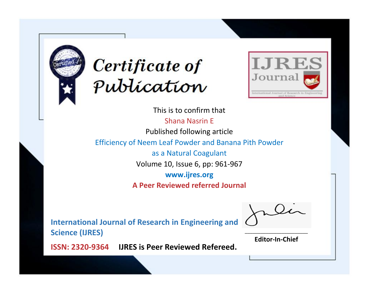



This is to confirm that Shana Nasrin E Published following article Efficiency of Neem Leaf Powder and Banana Pith Powder as a Natural Coagulant Volume 10, Issue 6, pp: 961-967 **www.ijres.org A Peer Reviewed referred Journal**

**International Journal of Research in Engineering and Science (IJRES)**

\_\_\_\_\_\_\_\_\_\_\_\_\_\_\_\_\_\_\_\_\_\_\_\_ **Editor-In-Chief**

**Journal.**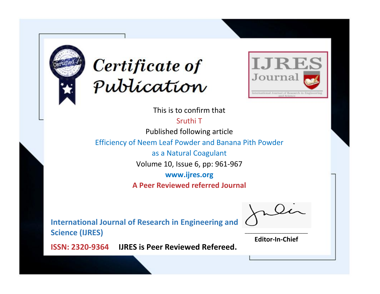



This is to confirm that

Sruthi T

Published following article

Efficiency of Neem Leaf Powder and Banana Pith Powder

as a Natural Coagulant

Volume 10, Issue 6, pp: 961-967

**www.ijres.org**

**A Peer Reviewed referred Journal**

**International Journal of Research in Engineering and Science (IJRES)**

\_\_\_\_\_\_\_\_\_\_\_\_\_\_\_\_\_\_\_\_\_\_\_\_ **Editor-In-Chief**

**Journal.**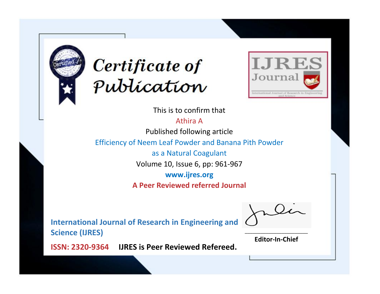



This is to confirm that

Athira A

Published following article

Efficiency of Neem Leaf Powder and Banana Pith Powder

as a Natural Coagulant

Volume 10, Issue 6, pp: 961-967

**www.ijres.org**

**A Peer Reviewed referred Journal**

**International Journal of Research in Engineering and Science (IJRES)**

\_\_\_\_\_\_\_\_\_\_\_\_\_\_\_\_\_\_\_\_\_\_\_\_ **Editor-In-Chief**

**Journal.**